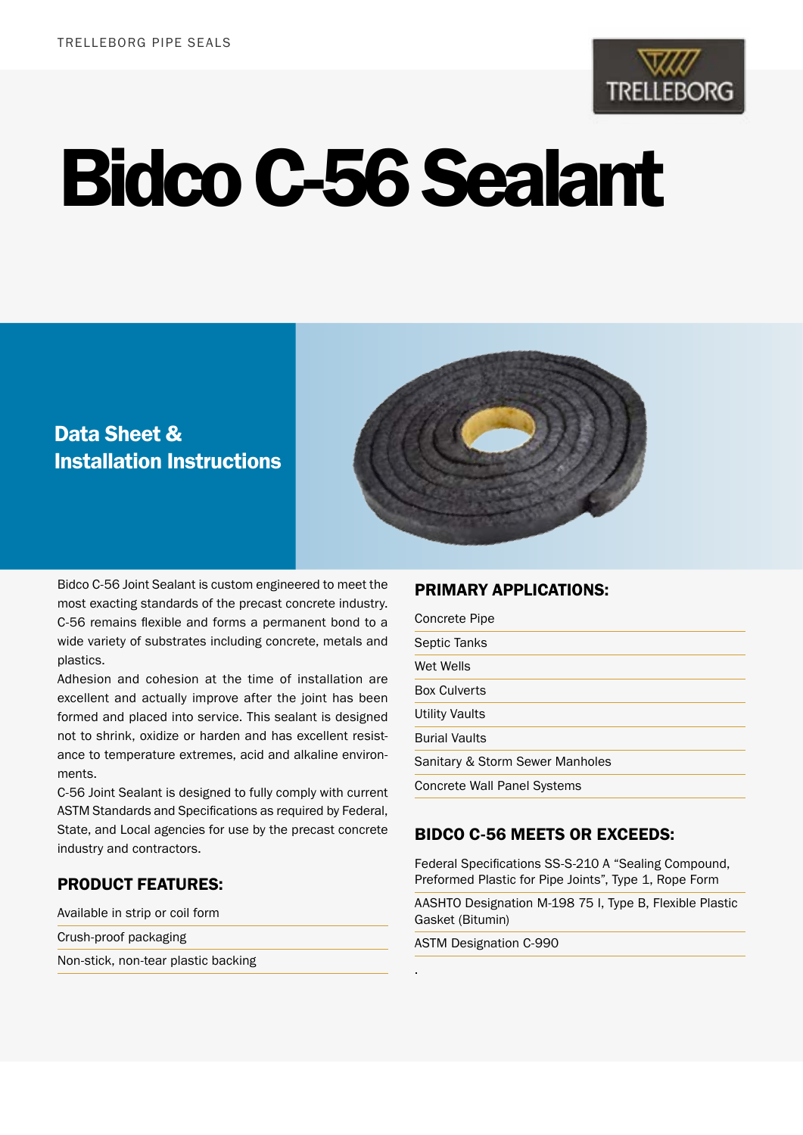

# Bidco C-56 Sealant

## Data Sheet & Installation Instructions



Bidco C-56 Joint Sealant is custom engineered to meet the most exacting standards of the precast concrete industry. C-56 remains flexible and forms a permanent bond to a wide variety of substrates including concrete, metals and plastics.

Adhesion and cohesion at the time of installation are excellent and actually improve after the joint has been formed and placed into service. This sealant is designed not to shrink, oxidize or harden and has excellent resistance to temperature extremes, acid and alkaline environments.

C-56 Joint Sealant is designed to fully comply with current ASTM Standards and Specifications as required by Federal, State, and Local agencies for use by the precast concrete industry and contractors.

### PRODUCT FEATURES:

Available in strip or coil form

Crush-proof packaging

Non-stick, non-tear plastic backing

#### PRIMARY APPLICATIONS:

| Concrete Pipe                      |  |
|------------------------------------|--|
| Septic Tanks                       |  |
| Wet Wells                          |  |
| <b>Box Culverts</b>                |  |
| <b>Utility Vaults</b>              |  |
| <b>Burial Vaults</b>               |  |
| Sanitary & Storm Sewer Manholes    |  |
| <b>Concrete Wall Panel Systems</b> |  |

#### BIDCO C-56 MEETS OR EXCEEDS:

Federal Specifications SS-S-210 A "Sealing Compound, Preformed Plastic for Pipe Joints", Type 1, Rope Form

AASHTO Designation M-198 75 I, Type B, Flexible Plastic Gasket (Bitumin)

ASTM Designation C-990

.